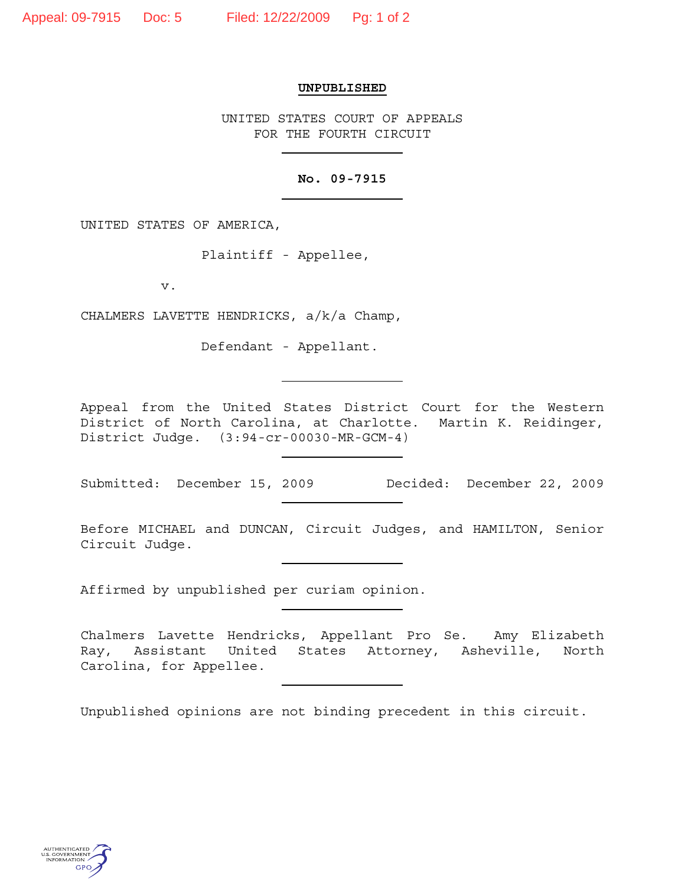## **UNPUBLISHED**

UNITED STATES COURT OF APPEALS FOR THE FOURTH CIRCUIT

## **No. 09-7915**

UNITED STATES OF AMERICA,

Plaintiff - Appellee,

v.

CHALMERS LAVETTE HENDRICKS, a/k/a Champ,

Defendant - Appellant.

Appeal from the United States District Court for the Western District of North Carolina, at Charlotte. Martin K. Reidinger, District Judge. (3:94-cr-00030-MR-GCM-4)

Submitted: December 15, 2009 Decided: December 22, 2009

Before MICHAEL and DUNCAN, Circuit Judges, and HAMILTON, Senior Circuit Judge.

<u> 1989 - Johann Barbara, martin a</u>

Affirmed by unpublished per curiam opinion.

Chalmers Lavette Hendricks, Appellant Pro Se. Amy Elizabeth Ray, Assistant United States Attorney, Asheville, North Carolina, for Appellee.

Unpublished opinions are not binding precedent in this circuit.